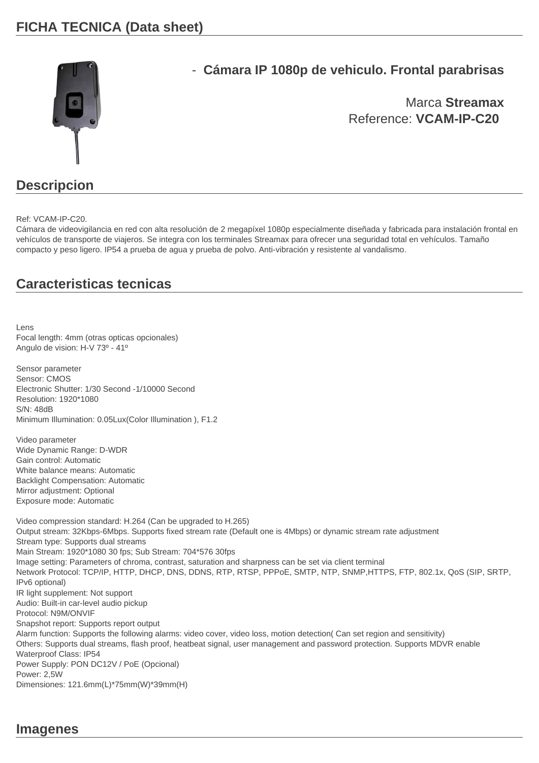

## - **Cámara IP 1080p de vehiculo. Frontal parabrisas**

Marca **Streamax** Reference: **VCAM-IP-C20** 

## **Descripcion**

Ref: VCAM-IP-C20.

Cámara de videovigilancia en red con alta resolución de 2 megapíxel 1080p especialmente diseñada y fabricada para instalación frontal en vehículos de transporte de viajeros. Se integra con los terminales Streamax para ofrecer una seguridad total en vehículos. Tamaño compacto y peso ligero. IP54 a prueba de agua y prueba de polvo. Anti-vibración y resistente al vandalismo.

## **Caracteristicas tecnicas**

Lens Focal length: 4mm (otras opticas opcionales) Angulo de vision: H-V 73º - 41º

Sensor parameter Sensor: CMOS Electronic Shutter: 1/30 Second -1/10000 Second Resolution: 1920\*1080 S/N: 48dB Minimum Illumination: 0.05Lux(Color Illumination ), F1.2

Video parameter Wide Dynamic Range: D-WDR Gain control: Automatic White balance means: Automatic Backlight Compensation: Automatic Mirror adjustment: Optional Exposure mode: Automatic

Video compression standard: H.264 (Can be upgraded to H.265) Output stream: 32Kbps-6Mbps. Supports fixed stream rate (Default one is 4Mbps) or dynamic stream rate adjustment Stream type: Supports dual streams Main Stream: 1920\*1080 30 fps; Sub Stream: 704\*576 30fps Image setting: Parameters of chroma, contrast, saturation and sharpness can be set via client terminal Network Protocol: TCP/IP, HTTP, DHCP, DNS, DDNS, RTP, RTSP, PPPoE, SMTP, NTP, SNMP,HTTPS, FTP, 802.1x, QoS (SIP, SRTP, IPv6 optional) IR light supplement: Not support Audio: Built-in car-level audio pickup Protocol: N9M/ONVIF Snapshot report: Supports report output Alarm function: Supports the following alarms: video cover, video loss, motion detection( Can set region and sensitivity) Others: Supports dual streams, flash proof, heatbeat signal, user management and password protection. Supports MDVR enable Waterproof Class: IP54 Power Supply: PON DC12V / PoE (Opcional) Power: 2,5W Dimensiones: 121.6mm(L)\*75mm(W)\*39mm(H)

## **Imagenes**